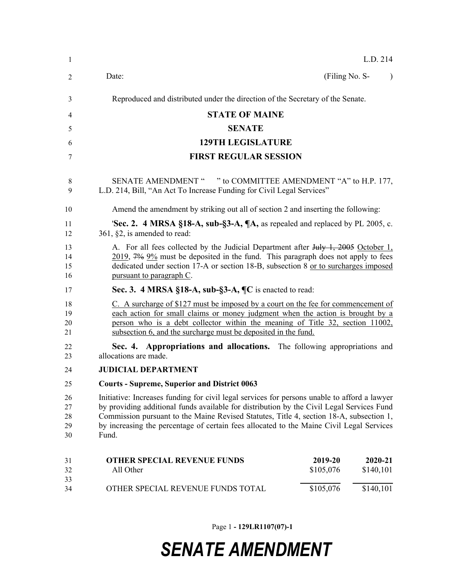| -1                         | L.D. 214                                                                                                                                                                                                                                                                                                                                                                                  |                      |                      |           |  |  |
|----------------------------|-------------------------------------------------------------------------------------------------------------------------------------------------------------------------------------------------------------------------------------------------------------------------------------------------------------------------------------------------------------------------------------------|----------------------|----------------------|-----------|--|--|
| 2                          | Date:                                                                                                                                                                                                                                                                                                                                                                                     | (Filing No. S-       |                      | $\lambda$ |  |  |
| 3                          | Reproduced and distributed under the direction of the Secretary of the Senate.                                                                                                                                                                                                                                                                                                            |                      |                      |           |  |  |
| 4                          | <b>STATE OF MAINE</b>                                                                                                                                                                                                                                                                                                                                                                     |                      |                      |           |  |  |
| 5                          | <b>SENATE</b>                                                                                                                                                                                                                                                                                                                                                                             |                      |                      |           |  |  |
| 6                          | <b>129TH LEGISLATURE</b>                                                                                                                                                                                                                                                                                                                                                                  |                      |                      |           |  |  |
| 7                          | <b>FIRST REGULAR SESSION</b>                                                                                                                                                                                                                                                                                                                                                              |                      |                      |           |  |  |
| 8<br>9                     | SENATE AMENDMENT " " to COMMITTEE AMENDMENT "A" to H.P. 177,<br>L.D. 214, Bill, "An Act To Increase Funding for Civil Legal Services"                                                                                                                                                                                                                                                     |                      |                      |           |  |  |
| 10                         | Amend the amendment by striking out all of section 2 and inserting the following:                                                                                                                                                                                                                                                                                                         |                      |                      |           |  |  |
| 11<br>12                   | <b>Sec. 2.</b> 4 MRSA §18-A, sub-§3-A, $\mathbb{A}$ , as repealed and replaced by PL 2005, c.<br>361, $\S2$ , is amended to read:                                                                                                                                                                                                                                                         |                      |                      |           |  |  |
| 13<br>14<br>15<br>16       | A. For all fees collected by the Judicial Department after July 1, 2005 October 1,<br>2019, 7% 9% must be deposited in the fund. This paragraph does not apply to fees<br>dedicated under section 17-A or section 18-B, subsection 8 or to surcharges imposed<br>pursuant to paragraph C.                                                                                                 |                      |                      |           |  |  |
| 17                         | Sec. 3. 4 MRSA §18-A, sub-§3-A, ¶C is enacted to read:                                                                                                                                                                                                                                                                                                                                    |                      |                      |           |  |  |
| 18<br>19<br>20<br>21       | C. A surcharge of \$127 must be imposed by a court on the fee for commencement of<br>each action for small claims or money judgment when the action is brought by a<br>person who is a debt collector within the meaning of Title 32, section 11002,<br>subsection 6, and the surcharge must be deposited in the fund.                                                                    |                      |                      |           |  |  |
| 22<br>23                   | Sec. 4. Appropriations and allocations. The following appropriations and<br>allocations are made.                                                                                                                                                                                                                                                                                         |                      |                      |           |  |  |
| 24                         | <b>JUDICIAL DEPARTMENT</b>                                                                                                                                                                                                                                                                                                                                                                |                      |                      |           |  |  |
| 25                         | <b>Courts - Supreme, Superior and District 0063</b>                                                                                                                                                                                                                                                                                                                                       |                      |                      |           |  |  |
| 26<br>27<br>28<br>29<br>30 | Initiative: Increases funding for civil legal services for persons unable to afford a lawyer<br>by providing additional funds available for distribution by the Civil Legal Services Fund<br>Commission pursuant to the Maine Revised Statutes, Title 4, section 18-A, subsection 1,<br>by increasing the percentage of certain fees allocated to the Maine Civil Legal Services<br>Fund. |                      |                      |           |  |  |
| 31<br>32                   | <b>OTHER SPECIAL REVENUE FUNDS</b><br>All Other                                                                                                                                                                                                                                                                                                                                           | 2019-20<br>\$105,076 | 2020-21<br>\$140,101 |           |  |  |
| 33<br>34                   | OTHER SPECIAL REVENUE FUNDS TOTAL                                                                                                                                                                                                                                                                                                                                                         | \$105,076            | \$140,101            |           |  |  |

Page 1 **- 129LR1107(07)-1**

## *SENATE AMENDMENT*